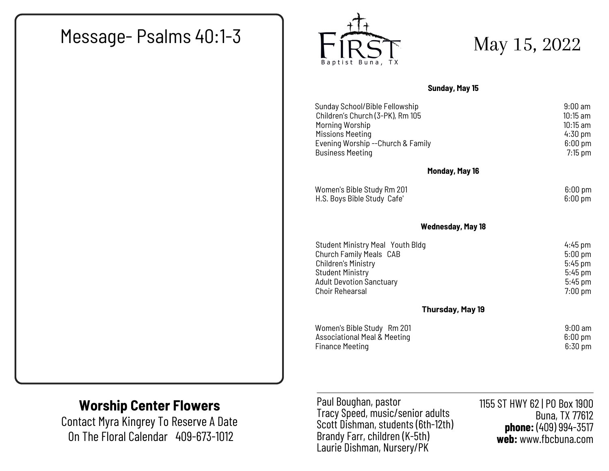# Message- Psalms 40:1-3  $\overline{F1RST}$  May 15, 2022



**Sunday, May 15**

| Sunday School/Bible Fellowship          | $9:00$ am         |  |
|-----------------------------------------|-------------------|--|
| Children's Church (3-PK), Rm 105        | $10:15$ am        |  |
| Morning Worship                         | $10:15$ am        |  |
| Missions Meeting                        | $4:30$ pm         |  |
| Evening Worship -- Church & Family      | $6:00$ pm         |  |
| <b>Business Meeting</b>                 | $7:15$ pm         |  |
| Monday, May 16                          |                   |  |
| Women's Bible Study Rm 201              | $6:00 \text{ pm}$ |  |
| H.S. Boys Bible Study Cafe'             | $6:00$ pm         |  |
| <b>Wednesday, May 18</b>                |                   |  |
| <b>Student Ministry Meal Youth Bldg</b> | $4:45$ pm         |  |
| Church Family Meals CAB                 | $5:00$ pm         |  |
| <b>Children's Ministry</b>              | $5:45$ pm         |  |
| <b>Student Ministry</b>                 | $5:45$ pm         |  |
| <b>Adult Devotion Sanctuary</b>         | $5:45$ pm         |  |
| <b>Choir Rehearsal</b>                  | $7:00$ pm         |  |
| Thursday, May 19                        |                   |  |
| Women's Bible Study Rm 201              | $9:00 \text{ am}$ |  |
| <b>Associational Meal &amp; Meeting</b> | $6:00 \text{ pm}$ |  |
| <b>Finance Meeting</b>                  | $6:30$ pm         |  |

#### **Worship Center Flowers**

Contact Myra Kingrey To Reserve A Date On The Floral Calendar 409-673-1012

Paul Boughan, pastor Tracy Speed, music/senior adults Scott Dishman, students (6th-12th) Brandy Farr, children (K-5th) Laurie Dishman, Nursery/PK

1155 ST HWY 62 | PO Box 1900 Buna, TX 77612 **phone:** (409) 994-3517 **web:** www.fbcbuna.com